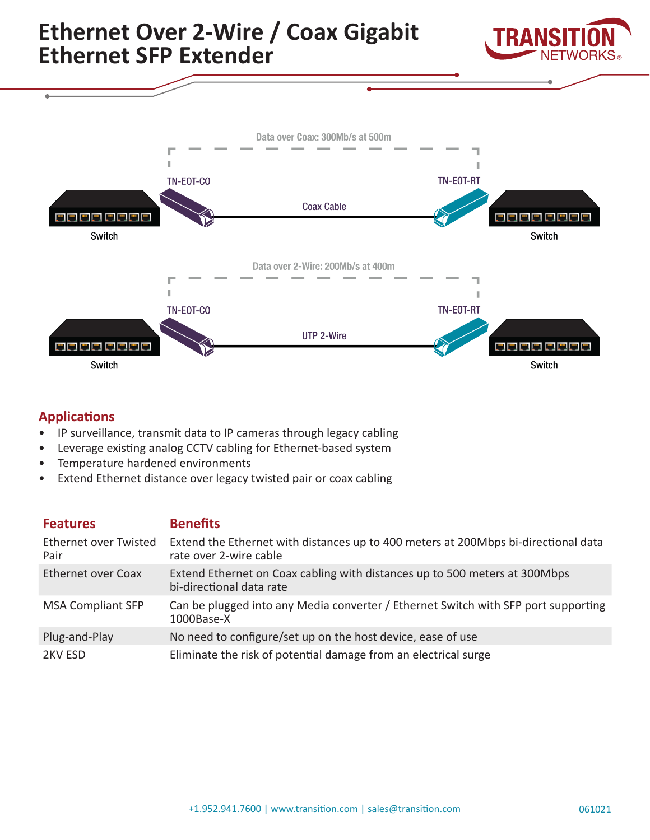

### **Applications**

- IP surveillance, transmit data to IP cameras through legacy cabling
- Leverage existing analog CCTV cabling for Ethernet-based system
- Temperature hardened environments
- Extend Ethernet distance over legacy twisted pair or coax cabling

| <b>Features</b>                      | <b>Benefits</b>                                                                                              |
|--------------------------------------|--------------------------------------------------------------------------------------------------------------|
| <b>Ethernet over Twisted</b><br>Pair | Extend the Ethernet with distances up to 400 meters at 200Mbps bi-directional data<br>rate over 2-wire cable |
| <b>Ethernet over Coax</b>            | Extend Ethernet on Coax cabling with distances up to 500 meters at 300Mbps<br>bi-directional data rate       |
| <b>MSA Compliant SFP</b>             | Can be plugged into any Media converter / Ethernet Switch with SFP port supporting<br>1000Base-X             |
| Plug-and-Play                        | No need to configure/set up on the host device, ease of use                                                  |
| 2KV ESD                              | Eliminate the risk of potential damage from an electrical surge                                              |